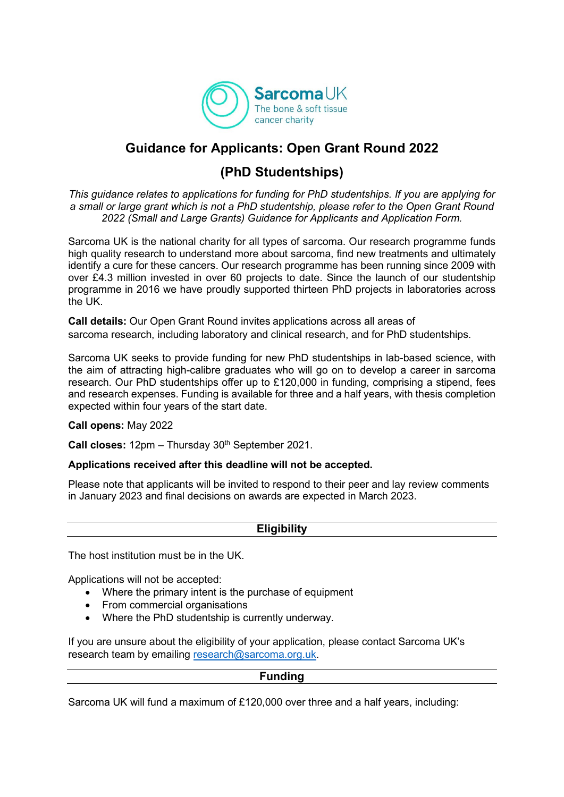

# **Guidance for Applicants: Open Grant Round 2022**

# **(PhD Studentships)**

*This guidance relates to applications for funding for PhD studentships. If you are applying for a small or large grant which is not a PhD studentship, please refer to the Open Grant Round 2022 (Small and Large Grants) Guidance for Applicants and Application Form.*

Sarcoma UK is the national charity for all types of sarcoma. Our research programme funds high quality research to understand more about sarcoma, find new treatments and ultimately identify a cure for these cancers. Our research programme has been running since 2009 with over £4.3 million invested in over 60 projects to date. Since the launch of our studentship programme in 2016 we have proudly supported thirteen PhD projects in laboratories across the UK.

**Call details:** Our Open Grant Round invites applications across all areas of sarcoma research, including laboratory and clinical research, and for PhD studentships.

Sarcoma UK seeks to provide funding for new PhD studentships in lab-based science, with the aim of attracting high-calibre graduates who will go on to develop a career in sarcoma research. Our PhD studentships offer up to £120,000 in funding, comprising a stipend, fees and research expenses. Funding is available for three and a half years, with thesis completion expected within four years of the start date.

#### **Call opens:** May 2022

**Call closes:** 12pm – Thursday 30<sup>th</sup> September 2021.

#### **Applications received after this deadline will not be accepted.**

Please note that applicants will be invited to respond to their peer and lay review comments in January 2023 and final decisions on awards are expected in March 2023.

#### **Eligibility**

The host institution must be in the UK.

Applications will not be accepted:

- Where the primary intent is the purchase of equipment
- From commercial organisations
- Where the PhD studentship is currently underway.

If you are unsure about the eligibility of your application, please contact Sarcoma UK's research team by emailing [research@sarcoma.org.uk.](mailto:research@sarcoma.org.uk)

#### **Funding**

Sarcoma UK will fund a maximum of £120,000 over three and a half years, including: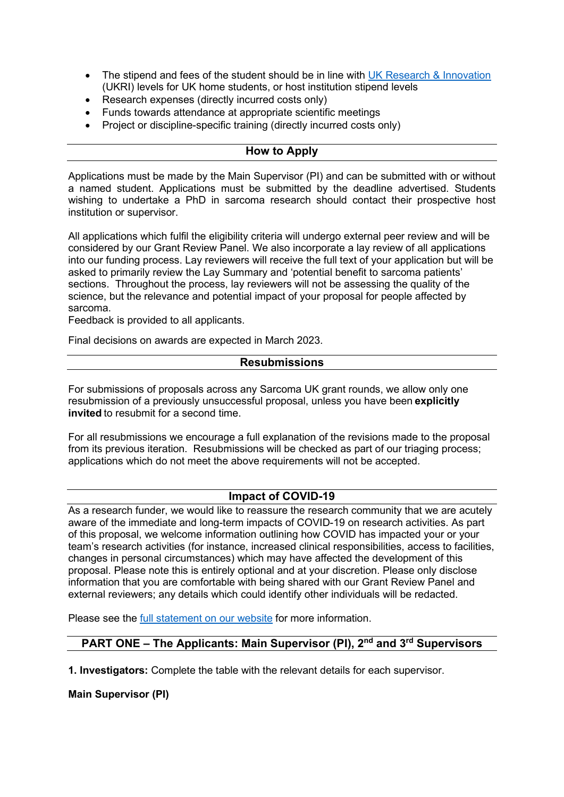- The stipend and fees of the student should be in line with [UK Research & Innovation](https://www.ukri.org/skills/funding-for-research-training/) (UKRI) levels for UK home students, or host institution stipend levels
- Research expenses (directly incurred costs only)
- Funds towards attendance at appropriate scientific meetings
- Project or discipline-specific training (directly incurred costs only)

#### **How to Apply**

Applications must be made by the Main Supervisor (PI) and can be submitted with or without a named student. Applications must be submitted by the deadline advertised. Students wishing to undertake a PhD in sarcoma research should contact their prospective host institution or supervisor.

All applications which fulfil the eligibility criteria will undergo external peer review and will be considered by our Grant Review Panel. We also incorporate a lay review of all applications into our funding process. Lay reviewers will receive the full text of your application but will be asked to primarily review the Lay Summary and 'potential benefit to sarcoma patients' sections. Throughout the process, lay reviewers will not be assessing the quality of the science, but the relevance and potential impact of your proposal for people affected by sarcoma.

Feedback is provided to all applicants.

Final decisions on awards are expected in March 2023.

#### **Resubmissions**

For submissions of proposals across any Sarcoma UK grant rounds, we allow only one resubmission of a previously unsuccessful proposal, unless you have been **explicitly invited** to resubmit for a second time.

For all resubmissions we encourage a full explanation of the revisions made to the proposal from its previous iteration. Resubmissions will be checked as part of our triaging process; applications which do not meet the above requirements will not be accepted.

# **Impact of COVID-19**

As a research funder, we would like to reassure the research community that we are acutely aware of the immediate and long-term impacts of COVID-19 on research activities. As part of this proposal, we welcome information outlining how COVID has impacted your or your team's research activities (for instance, increased clinical responsibilities, access to facilities, changes in personal circumstances) which may have affected the development of this proposal. Please note this is entirely optional and at your discretion. Please only disclose information that you are comfortable with being shared with our Grant Review Panel and external reviewers; any details which could identify other individuals will be redacted.

Please see the [full statement on our website](https://sarcoma.org.uk/wp-content/uploads/2022/05/COVID-19-cross-funder-memory-statement_for-publication.pdf) for more information.

# **PART ONE – The Applicants: Main Supervisor (PI), 2nd and 3rd Supervisors**

**1. Investigators:** Complete the table with the relevant details for each supervisor.

**Main Supervisor (PI)**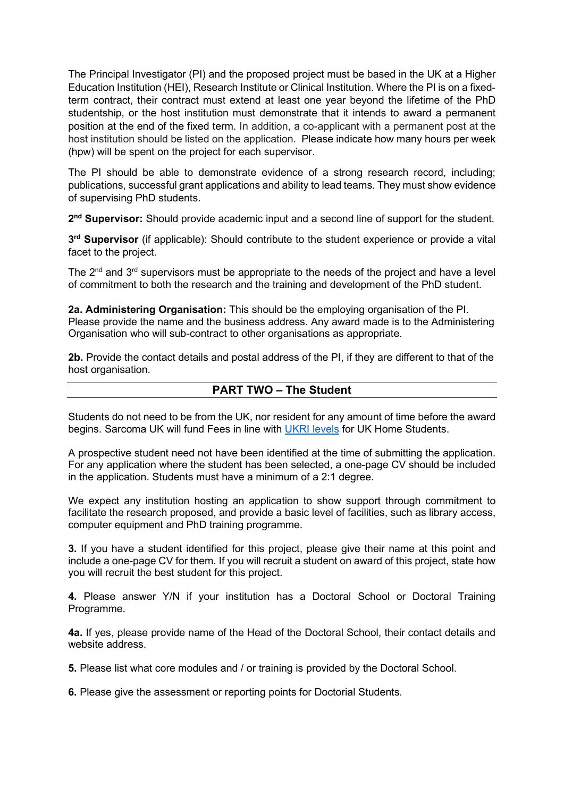The Principal Investigator (PI) and the proposed project must be based in the UK at a Higher Education Institution (HEI), Research Institute or Clinical Institution. Where the PI is on a fixedterm contract, their contract must extend at least one year beyond the lifetime of the PhD studentship, or the host institution must demonstrate that it intends to award a permanent position at the end of the fixed term. In addition, a co-applicant with a permanent post at the host institution should be listed on the application. Please indicate how many hours per week (hpw) will be spent on the project for each supervisor.

The PI should be able to demonstrate evidence of a strong research record, including; publications, successful grant applications and ability to lead teams. They must show evidence of supervising PhD students.

**2nd Supervisor:** Should provide academic input and a second line of support for the student.

**3rd Supervisor** (if applicable): Should contribute to the student experience or provide a vital facet to the project.

The 2<sup>nd</sup> and 3<sup>rd</sup> supervisors must be appropriate to the needs of the project and have a level of commitment to both the research and the training and development of the PhD student.

**2a. Administering Organisation:** This should be the employing organisation of the PI. Please provide the name and the business address. Any award made is to the Administering Organisation who will sub-contract to other organisations as appropriate.

**2b.** Provide the contact details and postal address of the PI, if they are different to that of the host organisation.

# **PART TWO – The Student**

Students do not need to be from the UK, nor resident for any amount of time before the award begins. Sarcoma UK will fund Fees in line with [UKRI levels](https://www.ukri.org/skills/funding-for-research-training/) for UK Home Students.

A prospective student need not have been identified at the time of submitting the application. For any application where the student has been selected, a one-page CV should be included in the application. Students must have a minimum of a 2:1 degree.

We expect any institution hosting an application to show support through commitment to facilitate the research proposed, and provide a basic level of facilities, such as library access, computer equipment and PhD training programme.

**3.** If you have a student identified for this project, please give their name at this point and include a one-page CV for them. If you will recruit a student on award of this project, state how you will recruit the best student for this project.

**4.** Please answer Y/N if your institution has a Doctoral School or Doctoral Training Programme.

**4a.** If yes, please provide name of the Head of the Doctoral School, their contact details and website address.

**5.** Please list what core modules and / or training is provided by the Doctoral School.

**6.** Please give the assessment or reporting points for Doctorial Students.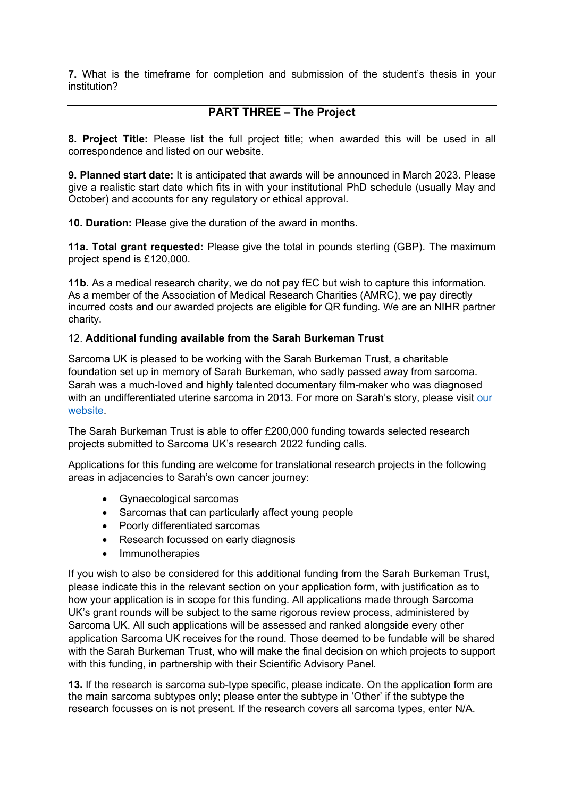**7.** What is the timeframe for completion and submission of the student's thesis in your institution?

### **PART THREE – The Project**

**8. Project Title:** Please list the full project title; when awarded this will be used in all correspondence and listed on our website.

**9. Planned start date:** It is anticipated that awards will be announced in March 2023. Please give a realistic start date which fits in with your institutional PhD schedule (usually May and October) and accounts for any regulatory or ethical approval.

**10. Duration:** Please give the duration of the award in months.

**11a. Total grant requested:** Please give the total in pounds sterling (GBP). The maximum project spend is £120,000.

**11b**. As a medical research charity, we do not pay fEC but wish to capture this information. As a member of the Association of Medical Research Charities (AMRC), we pay directly incurred costs and our awarded projects are eligible for QR funding. We are an NIHR partner charity.

#### 12. **Additional funding available from the Sarah Burkeman Trust**

Sarcoma UK is pleased to be working with the Sarah Burkeman Trust, a charitable foundation set up in memory of Sarah Burkeman, who sadly passed away from sarcoma. Sarah was a much-loved and highly talented documentary film-maker who was diagnosed with an undifferentiated uterine sarcoma in 2013. For more on Sarah's story, please visit our [website.](https://sarcoma.org.uk/research/researchers/collaboration-sarah-burkeman-trust)

The Sarah Burkeman Trust is able to offer £200,000 funding towards selected research projects submitted to Sarcoma UK's research 2022 funding calls.

Applications for this funding are welcome for translational research projects in the following areas in adjacencies to Sarah's own cancer journey:

- Gynaecological sarcomas
- Sarcomas that can particularly affect young people
- Poorly differentiated sarcomas
- Research focussed on early diagnosis
- Immunotherapies

If you wish to also be considered for this additional funding from the Sarah Burkeman Trust, please indicate this in the relevant section on your application form, with justification as to how your application is in scope for this funding. All applications made through Sarcoma UK's grant rounds will be subject to the same rigorous review process, administered by Sarcoma UK. All such applications will be assessed and ranked alongside every other application Sarcoma UK receives for the round. Those deemed to be fundable will be shared with the Sarah Burkeman Trust, who will make the final decision on which projects to support with this funding, in partnership with their Scientific Advisory Panel.

**13.** If the research is sarcoma sub-type specific, please indicate. On the application form are the main sarcoma subtypes only; please enter the subtype in 'Other' if the subtype the research focusses on is not present. If the research covers all sarcoma types, enter N/A.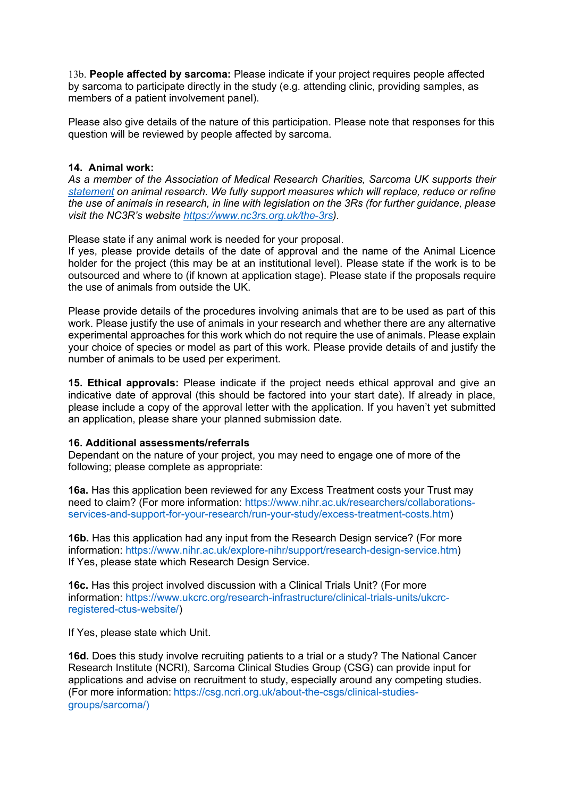13b. **People affected by sarcoma:** Please indicate if your project requires people affected by sarcoma to participate directly in the study (e.g. attending clinic, providing samples, as members of a patient involvement panel).

Please also give details of the nature of this participation. Please note that responses for this question will be reviewed by people affected by sarcoma.

#### **14. Animal work:**

*As a member of the Association of Medical Research Charities, Sarcoma UK supports their [statement](https://www.amrc.org.uk/position-statement-on-the-use-of-animals-in-research#:%7E:text=No%20AMRC%20charity%20takes%20the,%2Dreported%2C%20and%20ethically%20justified.) on animal research. We fully support measures which will replace, reduce or refine the use of animals in research, in line with legislation on the 3Rs (for further guidance, please visit the NC3R's website [https://www.nc3rs.org.uk/the-3rs\)](https://www.nc3rs.org.uk/the-3rs).*

Please state if any animal work is needed for your proposal.

If yes, please provide details of the date of approval and the name of the Animal Licence holder for the project (this may be at an institutional level). Please state if the work is to be outsourced and where to (if known at application stage). Please state if the proposals require the use of animals from outside the UK.

Please provide details of the procedures involving animals that are to be used as part of this work. Please justify the use of animals in your research and whether there are any alternative experimental approaches for this work which do not require the use of animals. Please explain your choice of species or model as part of this work. Please provide details of and justify the number of animals to be used per experiment.

**15. Ethical approvals:** Please indicate if the project needs ethical approval and give an indicative date of approval (this should be factored into your start date). If already in place, please include a copy of the approval letter with the application. If you haven't yet submitted an application, please share your planned submission date.

#### **16. Additional assessments/referrals**

Dependant on the nature of your project, you may need to engage one of more of the following; please complete as appropriate:

**16a.** Has this application been reviewed for any Excess Treatment costs your Trust may need to claim? (For more information: [https://www.nihr.ac.uk/researchers/collaborations](https://www.nihr.ac.uk/researchers/collaborations-services-and-support-for-your-research/run-your-study/excess-treatment-costs.htm)[services-and-support-for-your-research/run-your-study/excess-treatment-costs.htm\)](https://www.nihr.ac.uk/researchers/collaborations-services-and-support-for-your-research/run-your-study/excess-treatment-costs.htm)

**16b.** Has this application had any input from the Research Design service? (For more information: [https://www.nihr.ac.uk/explore-nihr/support/research-design-service.htm\)](https://www.nihr.ac.uk/explore-nihr/support/research-design-service.htm) If Yes, please state which Research Design Service.

**16c.** Has this project involved discussion with a Clinical Trials Unit? (For more information: [https://www.ukcrc.org/research-infrastructure/clinical-trials-units/ukcrc](https://www.ukcrc.org/research-infrastructure/clinical-trials-units/ukcrc-registered-ctus-website/)[registered-ctus-website/\)](https://www.ukcrc.org/research-infrastructure/clinical-trials-units/ukcrc-registered-ctus-website/)

If Yes, please state which Unit.

**16d.** Does this study involve recruiting patients to a trial or a study? The National Cancer Research Institute (NCRI), Sarcoma Clinical Studies Group (CSG) can provide input for applications and advise on recruitment to study, especially around any competing studies. (For more information: [https://csg.ncri.org.uk/about-the-csgs/clinical-studies](https://csg.ncri.org.uk/about-the-csgs/clinical-studies-groups/sarcoma/)[groups/sarcoma/\)](https://csg.ncri.org.uk/about-the-csgs/clinical-studies-groups/sarcoma/)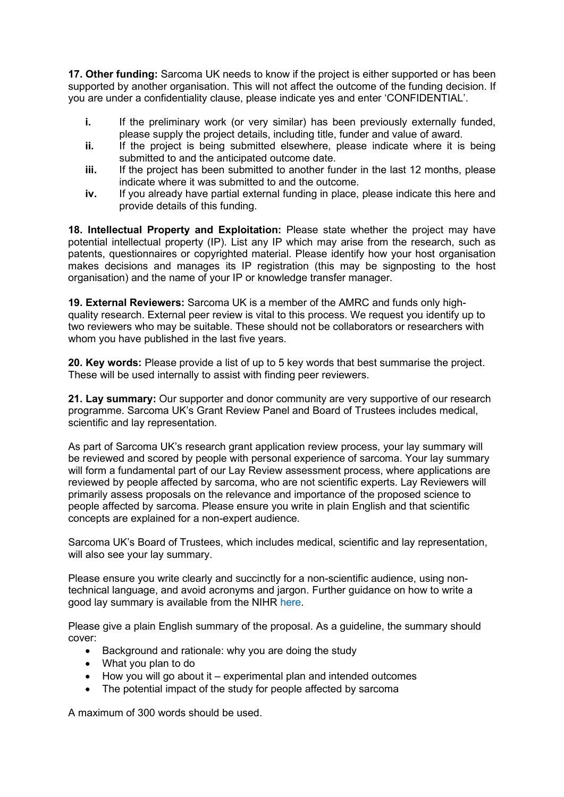**17. Other funding:** Sarcoma UK needs to know if the project is either supported or has been supported by another organisation. This will not affect the outcome of the funding decision. If you are under a confidentiality clause, please indicate yes and enter 'CONFIDENTIAL'.

- **i.** If the preliminary work (or very similar) has been previously externally funded, please supply the project details, including title, funder and value of award.
- **ii.** If the project is being submitted elsewhere, please indicate where it is being submitted to and the anticipated outcome date.
- **iii.** If the project has been submitted to another funder in the last 12 months, please indicate where it was submitted to and the outcome.
- **iv.** If you already have partial external funding in place, please indicate this here and provide details of this funding.

**18. Intellectual Property and Exploitation:** Please state whether the project may have potential intellectual property (IP). List any IP which may arise from the research, such as patents, questionnaires or copyrighted material. Please identify how your host organisation makes decisions and manages its IP registration (this may be signposting to the host organisation) and the name of your IP or knowledge transfer manager.

**19. External Reviewers:** Sarcoma UK is a member of the AMRC and funds only highquality research. External peer review is vital to this process. We request you identify up to two reviewers who may be suitable. These should not be collaborators or researchers with whom you have published in the last five years.

**20. Key words:** Please provide a list of up to 5 key words that best summarise the project. These will be used internally to assist with finding peer reviewers.

**21. Lay summary:** Our supporter and donor community are very supportive of our research programme. Sarcoma UK's Grant Review Panel and Board of Trustees includes medical, scientific and lay representation.

As part of Sarcoma UK's research grant application review process, your lay summary will be reviewed and scored by people with personal experience of sarcoma. Your lay summary will form a fundamental part of our Lay Review assessment process, where applications are reviewed by people affected by sarcoma, who are not scientific experts. Lay Reviewers will primarily assess proposals on the relevance and importance of the proposed science to people affected by sarcoma. Please ensure you write in plain English and that scientific concepts are explained for a non-expert audience.

Sarcoma UK's Board of Trustees, which includes medical, scientific and lay representation, will also see your lay summary.

Please ensure you write clearly and succinctly for a non-scientific audience, using nontechnical language, and avoid acronyms and jargon. Further guidance on how to write a good lay summary is available from the NIHR [here.](https://www.nihr.ac.uk/documents/plain-english-summaries/27363)

Please give a plain English summary of the proposal. As a guideline, the summary should cover:

- Background and rationale: why you are doing the study
- What you plan to do
- How you will go about it experimental plan and intended outcomes
- The potential impact of the study for people affected by sarcoma

A maximum of 300 words should be used.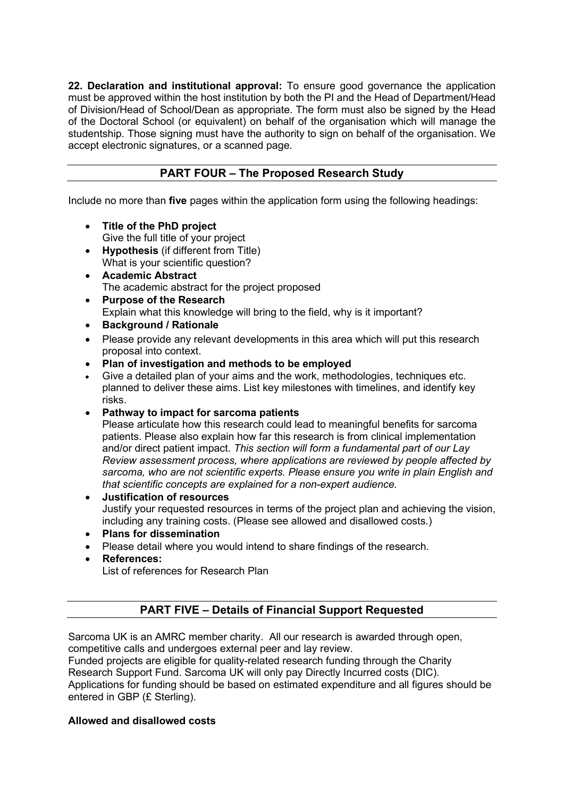**22. Declaration and institutional approval:** To ensure good governance the application must be approved within the host institution by both the PI and the Head of Department/Head of Division/Head of School/Dean as appropriate. The form must also be signed by the Head of the Doctoral School (or equivalent) on behalf of the organisation which will manage the studentship. Those signing must have the authority to sign on behalf of the organisation. We accept electronic signatures, or a scanned page.

# **PART FOUR – The Proposed Research Study**

Include no more than **five** pages within the application form using the following headings:

- **Title of the PhD project** Give the full title of your project
- **Hypothesis** (if different from Title) What is your scientific question?
- **Academic Abstract** The academic abstract for the project proposed
- **Purpose of the Research** Explain what this knowledge will bring to the field, why is it important?
- **Background / Rationale**
- Please provide any relevant developments in this area which will put this research proposal into context.
- **Plan of investigation and methods to be employed**
- Give a detailed plan of your aims and the work, methodologies, techniques etc. planned to deliver these aims. List key milestones with timelines, and identify key risks.
- **Pathway to impact for sarcoma patients**

Please articulate how this research could lead to meaningful benefits for sarcoma patients. Please also explain how far this research is from clinical implementation and/or direct patient impact. *This section will form a fundamental part of our Lay Review assessment process, where applications are reviewed by people affected by sarcoma, who are not scientific experts. Please ensure you write in plain English and that scientific concepts are explained for a non-expert audience.*

#### • **Justification of resources**

Justify your requested resources in terms of the project plan and achieving the vision, including any training costs. (Please see allowed and disallowed costs.)

- **Plans for dissemination**
- Please detail where you would intend to share findings of the research.
- **References:**

List of references for Research Plan

# **PART FIVE – Details of Financial Support Requested**

Sarcoma UK is an AMRC member charity. All our research is awarded through open, competitive calls and undergoes external peer and lay review.

Funded projects are eligible for quality-related research funding through the Charity Research Support Fund. Sarcoma UK will only pay Directly Incurred costs (DIC).

Applications for funding should be based on estimated expenditure and all figures should be entered in GBP (£ Sterling).

#### **Allowed and disallowed costs**